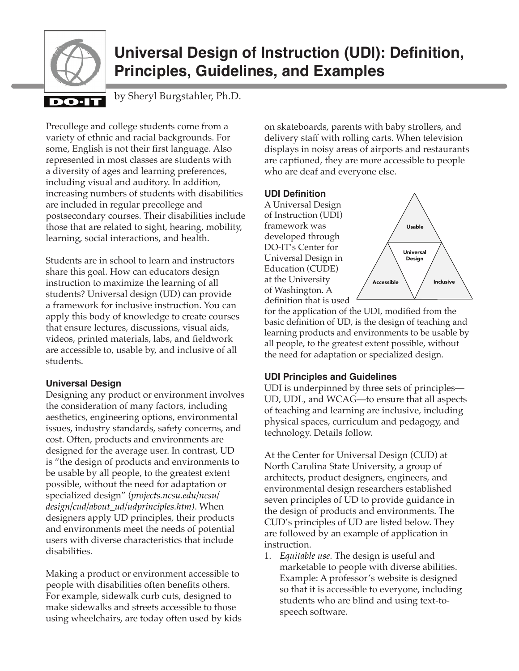

# **Universal Design of Instruction (UDI): Definition, Principles, Guidelines, and Examples**

# DO-I

by Sheryl Burgstahler, Ph.D.

Precollege and college students come from a variety of ethnic and racial backgrounds. For some, English is not their first language. Also represented in most classes are students with a diversity of ages and learning preferences, including visual and auditory. In addition, increasing numbers of students with disabilities are included in regular precollege and postsecondary courses. Their disabilities include those that are related to sight, hearing, mobility, learning, social interactions, and health.

Students are in school to learn and instructors share this goal. How can educators design instruction to maximize the learning of all students? Universal design (UD) can provide a framework for inclusive instruction. You can apply this body of knowledge to create courses that ensure lectures, discussions, visual aids, videos, printed materials, labs, and fieldwork are accessible to, usable by, and inclusive of all students.

## **Universal Design**

Designing any product or environment involves the consideration of many factors, including aesthetics, engineering options, environmental issues, industry standards, safety concerns, and cost. Often, products and environments are designed for the average user. In contrast, UD is "the design of products and environments to be usable by all people, to the greatest extent possible, without the need for adaptation or specialized design" (*projects.ncsu.edu/ncsu/ design/cud/about\_ud/udprinciples.htm)*. When designers apply UD principles, their products and environments meet the needs of potential users with diverse characteristics that include disabilities.

Making a product or environment accessible to people with disabilities often benefits others. For example, sidewalk curb cuts, designed to make sidewalks and streets accessible to those using wheelchairs, are today often used by kids on skateboards, parents with baby strollers, and delivery staff with rolling carts. When television displays in noisy areas of airports and restaurants are captioned, they are more accessible to people who are deaf and everyone else.

## **UDI Definition**

A Universal Design of Instruction (UDI) framework was developed through DO-IT's Center for Universal Design in Education (CUDE) at the University of Washington. A definition that is used



for the application of the UDI, modified from the basic definition of UD, is the design of teaching and learning products and environments to be usable by all people, to the greatest extent possible, without the need for adaptation or specialized design.

# **UDI Principles and Guidelines**

UDI is underpinned by three sets of principles— UD, UDL, and WCAG—to ensure that all aspects of teaching and learning are inclusive, including physical spaces, curriculum and pedagogy, and technology. Details follow.

At the Center for Universal Design (CUD) at North Carolina State University, a group of architects, product designers, engineers, and environmental design researchers established seven principles of UD to provide guidance in the design of products and environments. The CUD's principles of UD are listed below. They are followed by an example of application in instruction.

1. *Equitable use*. The design is useful and marketable to people with diverse abilities. Example: A professor's website is designed so that it is accessible to everyone, including students who are blind and using text-tospeech software.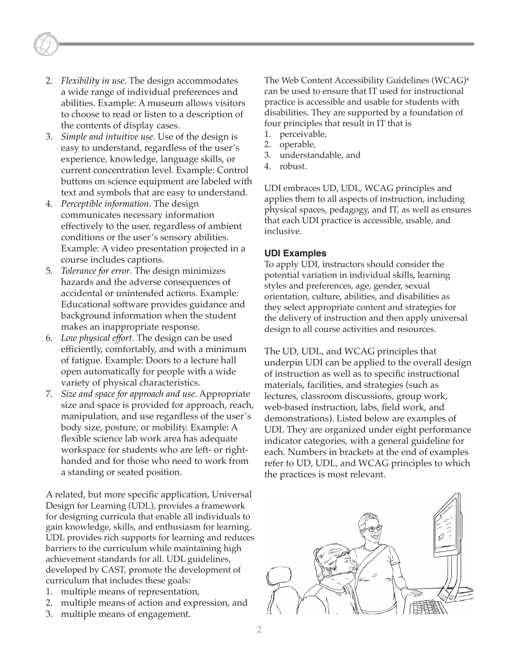- 2. *Flexibility in use*. The design accommodates a wide range of individual preferences and abilities. Example: A museum allows visitors to choose to read or listen to a description of the contents of display cases.
- 3. *Simple and intuitive use*. Use of the design is easy to understand, regardless of the user's experience, knowledge, language skills, or current concentration level. Example: Control buttons on science equipment are labeled with text and symbols that are easy to understand.
- 4. *Perceptible information*. The design communicates necessary information effectively to the user, regardless of ambient conditions or the user's sensory abilities. Example: A video presentation projected in a course includes captions.
- 5. *Tolerance for error*. The design minimizes hazards and the adverse consequences of accidental or unintended actions. Example: Educational software provides guidance and background information when the student makes an inappropriate response.
- 6. *Low physical effort*. The design can be used efficiently, comfortably, and with a minimum of fatigue. Example: Doors to a lecture hall open automatically for people with a wide variety of physical characteristics.
- 7. *Size and space for approach and use*. Appropriate size and space is provided for approach, reach, manipulation, and use regardless of the user's body size, posture, or mobility. Example: A flexible science lab work area has adequate workspace for students who are left- or righthanded and for those who need to work from a standing or seated position.

A related, but more specific application, Universal Design for Learning (UDL), provides a framework for designing curricula that enable all individuals to gain knowledge, skills, and enthusiasm for learning. UDL provides rich supports for learning and reduces barriers to the curriculum while maintaining high achievement standards for all. UDL guidelines, developed by CAST, promote the development of curriculum that includes these goals:

- 1. multiple means of representation,
- 2. multiple means of action and expression, and
- 3. multiple means of engagement.

The Web Content Accessibility Guidelines (WCAG)<sup>4</sup> can be used to ensure that IT used for instructional practice is accessible and usable for students with disabilities. They are supported by a foundation of four principles that result in IT that is

- 1. perceivable,
- 2. operable,
- 3. understandable, and
- 4. robust.

UDI embraces UD, UDL, WCAG principles and applies them to all aspects of instruction, including physical spaces, pedagogy, and IT, as well as ensures that each UDI practice is accessible, usable, and inclusive.

#### **UDI Examples**

To apply UDI, instructors should consider the potential variation in individual skills, learning styles and preferences, age, gender, sexual orientation, culture, abilities, and disabilities as they select appropriate content and strategies for the delivery of instruction and then apply universal design to all course activities and resources.

The UD, UDL, and WCAG principles that underpin UDI can be applied to the overall design of instruction as well as to specific instructional materials, facilities, and strategies (such as lectures, classroom discussions, group work, web-based instruction, labs, field work, and demonstrations). Listed below are examples of UDI. They are organized under eight performance indicator categories, with a general guideline for each. Numbers in brackets at the end of examples refer to UD, UDL, and WCAG principles to which the practices is most relevant.

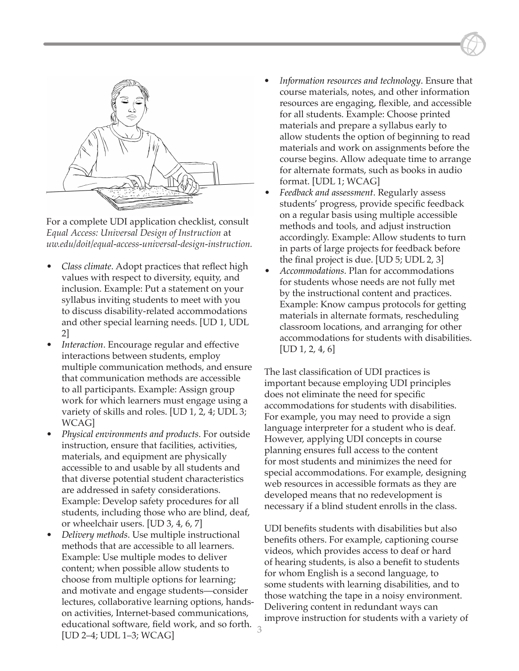

For a complete UDI application checklist, consult *Equal Access: Universal Design of Instruction* at *uw.edu/doit/equal-access-universal-design-instruction.*

- *Class climate*. Adopt practices that reflect high values with respect to diversity, equity, and inclusion. Example: Put a statement on your syllabus inviting students to meet with you to discuss disability-related accommodations and other special learning needs. [UD 1, UDL 2]
- *Interaction*. Encourage regular and effective interactions between students, employ multiple communication methods, and ensure that communication methods are accessible to all participants. Example: Assign group work for which learners must engage using a variety of skills and roles. [UD 1, 2, 4; UDL 3; WCAG]
- *Physical environments and products*. For outside instruction, ensure that facilities, activities, materials, and equipment are physically accessible to and usable by all students and that diverse potential student characteristics are addressed in safety considerations. Example: Develop safety procedures for all students, including those who are blind, deaf, or wheelchair users. [UD 3, 4, 6, 7]
- *Delivery methods*. Use multiple instructional methods that are accessible to all learners. Example: Use multiple modes to deliver content; when possible allow students to choose from multiple options for learning; and motivate and engage students—consider lectures, collaborative learning options, handson activities, Internet-based communications, educational software, field work, and so forth. [UD 2–4; UDL 1–3; WCAG]
- *• Information resources and technology*. Ensure that course materials, notes, and other information resources are engaging, flexible, and accessible for all students. Example: Choose printed materials and prepare a syllabus early to allow students the option of beginning to read materials and work on assignments before the course begins. Allow adequate time to arrange for alternate formats, such as books in audio format. [UDL 1; WCAG]
- *Feedback and assessment*. Regularly assess students' progress, provide specific feedback on a regular basis using multiple accessible methods and tools, and adjust instruction accordingly. Example: Allow students to turn in parts of large projects for feedback before the final project is due. [UD 5; UDL 2, 3]
- *Accommodations*. Plan for accommodations for students whose needs are not fully met by the instructional content and practices. Example: Know campus protocols for getting materials in alternate formats, rescheduling classroom locations, and arranging for other accommodations for students with disabilities.  $[UD 1, 2, 4, 6]$

The last classification of UDI practices is important because employing UDI principles does not eliminate the need for specific accommodations for students with disabilities. For example, you may need to provide a sign language interpreter for a student who is deaf. However, applying UDI concepts in course planning ensures full access to the content for most students and minimizes the need for special accommodations. For example, designing web resources in accessible formats as they are developed means that no redevelopment is necessary if a blind student enrolls in the class.

UDI benefits students with disabilities but also benefits others. For example, captioning course videos, which provides access to deaf or hard of hearing students, is also a benefit to students for whom English is a second language, to some students with learning disabilities, and to those watching the tape in a noisy environment. Delivering content in redundant ways can improve instruction for students with a variety of

3